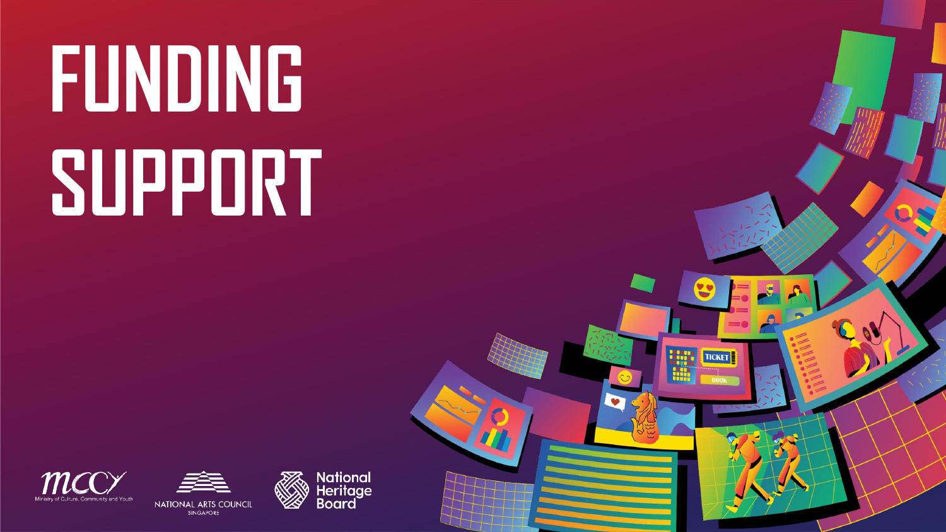**FUNDING SUPPORT**







**TICKET**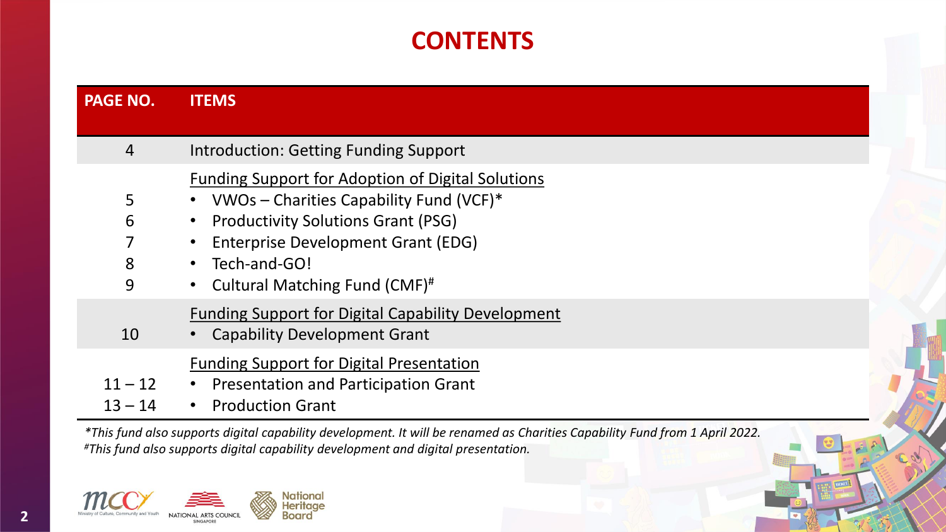## **CONTENTS**

| <b>PAGE NO.</b>        | <b>ITEMS</b>                                                                                                                                                                                                                                   |
|------------------------|------------------------------------------------------------------------------------------------------------------------------------------------------------------------------------------------------------------------------------------------|
|                        |                                                                                                                                                                                                                                                |
| 4                      | <b>Introduction: Getting Funding Support</b>                                                                                                                                                                                                   |
| 5<br>6<br>7<br>8<br>9  | <b>Funding Support for Adoption of Digital Solutions</b><br>VWOs - Charities Capability Fund (VCF)*<br><b>Productivity Solutions Grant (PSG)</b><br><b>Enterprise Development Grant (EDG)</b><br>Tech-and-GO!<br>Cultural Matching Fund (CMF)# |
| 10                     | <b>Funding Support for Digital Capability Development</b><br><b>Capability Development Grant</b>                                                                                                                                               |
| $11 - 12$<br>$13 - 14$ | <b>Funding Support for Digital Presentation</b><br>• Presentation and Participation Grant<br><b>Production Grant</b>                                                                                                                           |

*\*This fund also supports digital capability development. It will be renamed as Charities Capability Fund from 1 April 2022. #This fund also supports digital capability development and digital presentation.*

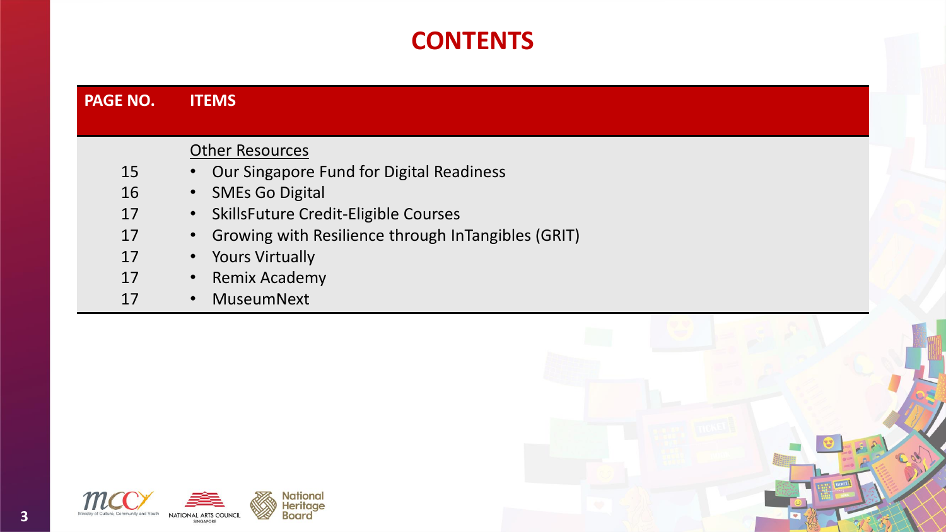## **CONTENTS**

| <b>PAGE NO.</b> | <b>ITEMS</b>                                         |
|-----------------|------------------------------------------------------|
|                 |                                                      |
|                 | <b>Other Resources</b>                               |
| 15              | • Our Singapore Fund for Digital Readiness           |
| 16              | <b>SMEs Go Digital</b><br>$\bullet$                  |
| 17              | · SkillsFuture Credit-Eligible Courses               |
| 17              | • Growing with Resilience through InTangibles (GRIT) |
| 17              | <b>Yours Virtually</b><br>$\bullet$                  |
| 17              | <b>Remix Academy</b><br>$\bullet$                    |
| 17              | MuseumNext<br>$\bullet$                              |
|                 |                                                      |



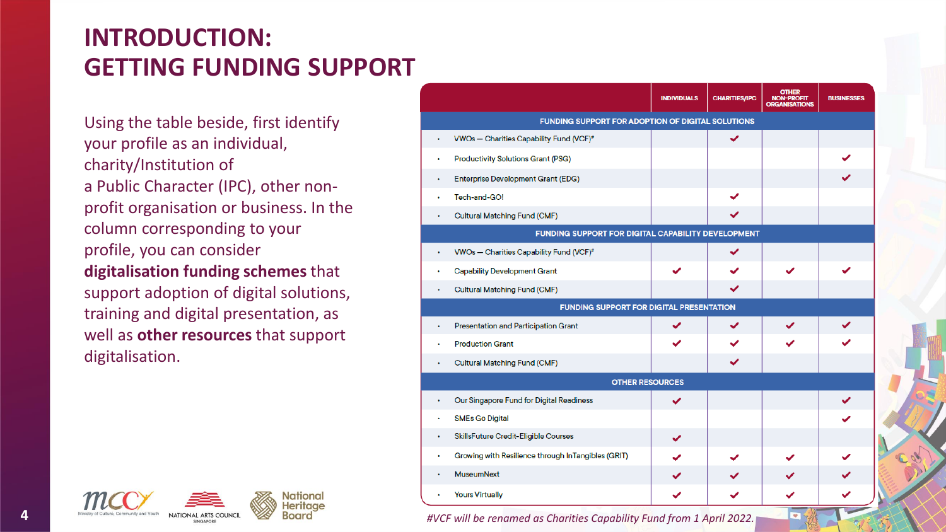## **INTRODUCTION: GETTING FUNDING SUPPORT**

Using the table beside, first identify your profile as an individual, charity/Institution of a Public Character (IPC), other nonprofit organisation or business. In the column corresponding to your profile, you can consider **digitalisation funding schemes** that support adoption of digital solutions, training and digital presentation, as well as **other resources** that support digitalisation.



|   |                                                          | <b>INDIVIDUALS</b> | <b>CHARITIES/IPC</b> | <b>OTHER</b><br><b>NON-PROFIT</b><br><b>ORGANISATIONS</b> | <b>BUSINESSES</b> |
|---|----------------------------------------------------------|--------------------|----------------------|-----------------------------------------------------------|-------------------|
|   | <b>FUNDING SUPPORT FOR ADOPTION OF DIGITAL SOLUTIONS</b> |                    |                      |                                                           |                   |
|   | VWOs - Charities Capability Fund (VCF)#                  |                    | ✓                    |                                                           |                   |
|   | <b>Productivity Solutions Grant (PSG)</b>                |                    |                      |                                                           |                   |
|   | <b>Enterprise Development Grant (EDG)</b>                |                    |                      |                                                           |                   |
|   | Tech-and-GO!                                             |                    |                      |                                                           |                   |
| ۰ | <b>Cultural Matching Fund (CMF)</b>                      |                    | ✓                    |                                                           |                   |
|   | FUNDING SUPPORT FOR DIGITAL CAPABILITY DEVELOPMENT       |                    |                      |                                                           |                   |
| ٠ | VWOs - Charities Capability Fund (VCF)#                  |                    | ✓                    |                                                           |                   |
|   | <b>Capability Development Grant</b>                      | ✓                  | ✓                    | ✓                                                         |                   |
| ٠ | <b>Cultural Matching Fund (CMF)</b>                      |                    | ✓                    |                                                           |                   |
|   | <b>FUNDING SUPPORT FOR DIGITAL PRESENTATION</b>          |                    |                      |                                                           |                   |
|   | Presentation and Participation Grant                     | ✓                  | ✓                    | ✓                                                         |                   |
|   | <b>Production Grant</b>                                  | ✓                  | ✓                    |                                                           |                   |
| ٠ | <b>Cultural Matching Fund (CMF)</b>                      |                    | ✓                    |                                                           |                   |
|   | <b>OTHER RESOURCES</b>                                   |                    |                      |                                                           |                   |
|   | Our Singapore Fund for Digital Readiness                 | ✓                  |                      |                                                           |                   |
|   | <b>SMEs Go Digital</b>                                   |                    |                      |                                                           |                   |
|   | <b>SkillsFuture Credit-Eligible Courses</b>              | ✓                  |                      |                                                           |                   |
| ٠ | Growing with Resilience through InTangibles (GRIT)       | ✓                  | ✓                    |                                                           |                   |
|   | <b>MuseumNext</b>                                        |                    |                      |                                                           |                   |
| ٠ | <b>Yours Virtually</b>                                   | ✓                  | ✓                    | ✓                                                         |                   |

*#VCF will be renamed as Charities Capability Fund from 1 April 2022.*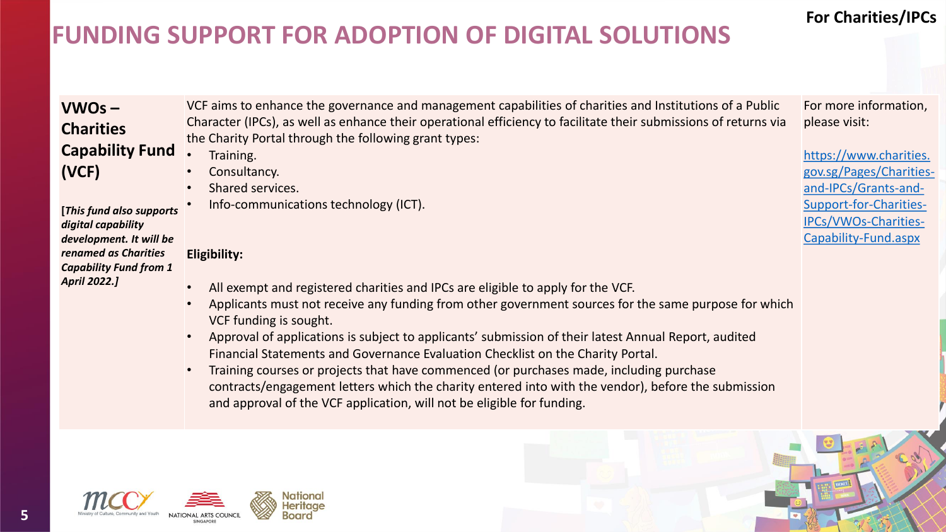## **For Charities/IPCs**

## **FUNDING SUPPORT FOR ADOPTION OF DIGITAL SOLUTIONS**

| $VWOS -$                      | VCF aims to enhance the governance and management capabilities of charities and Institutions of a Public         | For more information,   |
|-------------------------------|------------------------------------------------------------------------------------------------------------------|-------------------------|
| <b>Charities</b>              | Character (IPCs), as well as enhance their operational efficiency to facilitate their submissions of returns via | please visit:           |
| <b>Capability Fund</b>        | the Charity Portal through the following grant types:                                                            |                         |
|                               | Training.                                                                                                        | https://www.charities.  |
| (VCF)                         | Consultancy.                                                                                                     | gov.sg/Pages/Charities- |
|                               | Shared services.                                                                                                 | and-IPCs/Grants-and-    |
| [This fund also supports      | Info-communications technology (ICT).                                                                            | Support-for-Charities-  |
| digital capability            |                                                                                                                  | IPCs/VWOs-Charities-    |
| development. It will be       |                                                                                                                  | Capability-Fund.aspx    |
| renamed as Charities          | Eligibility:                                                                                                     |                         |
| <b>Capability Fund from 1</b> |                                                                                                                  |                         |
| April 2022.]                  | All exempt and registered charities and IPCs are eligible to apply for the VCF.                                  |                         |
|                               | Applicants must not receive any funding from other government sources for the same purpose for which             |                         |
|                               | VCF funding is sought.                                                                                           |                         |
|                               | Approval of applications is subject to applicants' submission of their latest Annual Report, audited             |                         |
|                               | Financial Statements and Governance Evaluation Checklist on the Charity Portal.                                  |                         |
|                               | Training courses or projects that have commenced (or purchases made, including purchase<br>$\bullet$             |                         |
|                               | contracts/engagement letters which the charity entered into with the vendor), before the submission              |                         |
|                               |                                                                                                                  |                         |
|                               | and approval of the VCF application, will not be eligible for funding.                                           |                         |



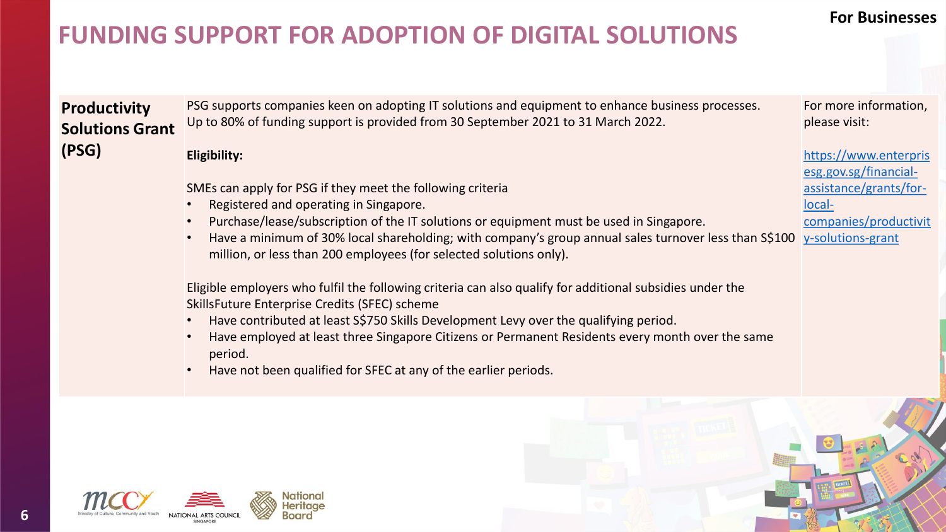### **For Businesses**

assistance/grants/for-

[companies/productivit](https://www.enterprisesg.gov.sg/financial-assistance/grants/for-local-companies/productivity-solutions-grant)

local-

## **FUNDING SUPPORT FOR ADOPTION OF DIGITAL SOLUTIONS**

**Productivity Solutions Grant (PSG)** PSG supports companies keen on adopting IT solutions and equipment to enhance business processes. Up to 80% of funding support is provided from 30 September 2021 to 31 March 2022. **Eligibility:** For more information, please visit: https://www.enterpris esg.gov.sg/financial-

SMEs can apply for PSG if they meet the following criteria

- Registered and operating in Singapore.
- Purchase/lease/subscription of the IT solutions or equipment must be used in Singapore.
- Have a minimum of 30% local shareholding; with company's group annual sales turnover less than S\$100 million, or less than 200 employees (for selected solutions only). y-solutions-grant

Eligible employers who fulfil the following criteria can also qualify for additional subsidies under the SkillsFuture Enterprise Credits (SFEC) scheme

- Have contributed at least S\$750 Skills Development Levy over the qualifying period.
- Have employed at least three Singapore Citizens or Permanent Residents every month over the same period.
- Have not been qualified for SFEC at any of the earlier periods.



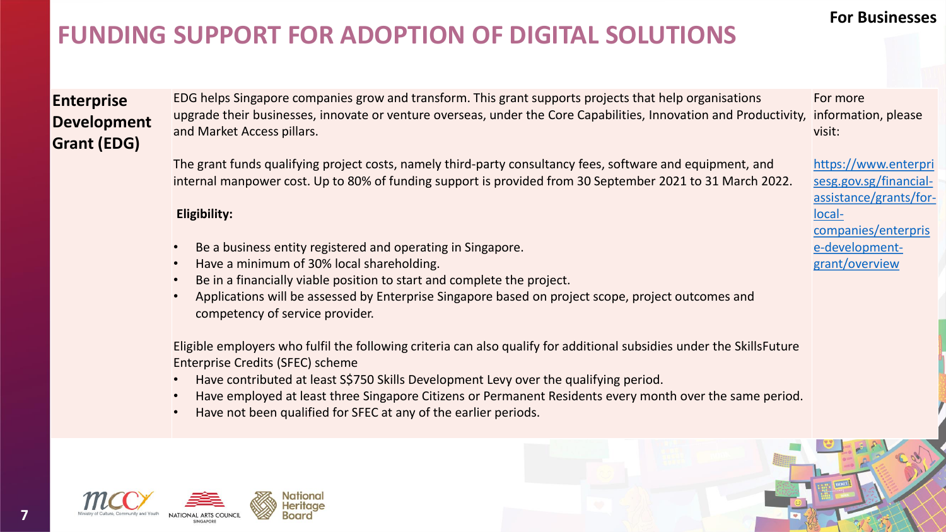### **For Businesses**

## **FUNDING SUPPORT FOR ADOPTION OF DIGITAL SOLUTIONS**

### **Enterprise Development Grant (EDG)**

EDG helps Singapore companies grow and transform. This grant supports projects that help organisations upgrade their businesses, innovate or venture overseas, under the Core Capabilities, Innovation and Productivity, and Market Access pillars. For more information, please visit:

The grant funds qualifying project costs, namely third-party consultancy fees, software and equipment, and internal manpower cost. Up to 80% of funding support is provided from 30 September 2021 to 31 March 2022.

#### **Eligibility:**

- Be a business entity registered and operating in Singapore.
- Have a minimum of 30% local shareholding.
- Be in a financially viable position to start and complete the project.
- Applications will be assessed by Enterprise Singapore based on project scope, project outcomes and competency of service provider.

Eligible employers who fulfil the following criteria can also qualify for additional subsidies under the SkillsFuture Enterprise Credits (SFEC) scheme

- Have contributed at least S\$750 Skills Development Levy over the qualifying period.
- Have employed at least three Singapore Citizens or Permanent Residents every month over the same period.
- Have not been qualified for SFEC at any of the earlier periods.





https://www.enterpri sesg.gov.sg/financial[assistance/grants/for](https://www.enterprisesg.gov.sg/financial-assistance/grants/for-local-companies/enterprise-development-grant/overview)local-

companies/enterpris e-developmentgrant/overview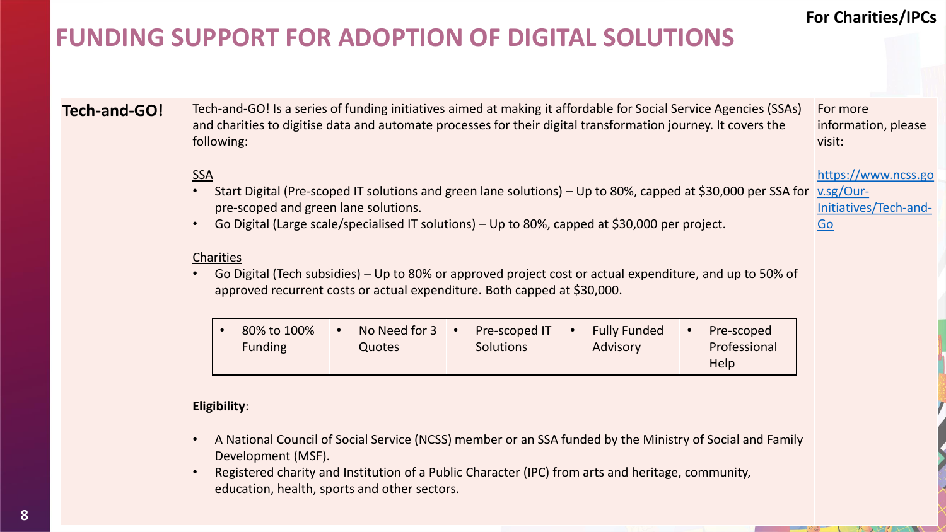### **For Charities/IPCs**

https://www.ncss.go

Go

## **FUNDING SUPPORT FOR ADOPTION OF DIGITAL SOLUTIONS**

**Tech-and-GO!** Tech-and-GO! Is a series of funding initiatives aimed at making it affordable for Social Service Agencies (SSAs) and charities to digitise data and automate processes for their digital transformation journey. It covers the following: For more information, please visit:

### SSA

- Start Digital (Pre-scoped IT solutions and green lane solutions) Up to 80%, capped at \$30,000 per SSA for x.sg/Ourpre-scoped and green lane solutions. [Initiatives/Tech-and-](https://www.ncss.gov.sg/Our-Initiatives/Tech-and-Go)
- Go Digital (Large scale/specialised IT solutions) Up to 80%, capped at \$30,000 per project.

#### **Charities**

• Go Digital (Tech subsidies) – Up to 80% or approved project cost or actual expenditure, and up to 50% of approved recurrent costs or actual expenditure. Both capped at \$30,000.

| 80% to 100%    | No Need for $3 \cdot$ | Pre-scoped IT •  | <b>Fully Funded</b> | Pre-scoped   |
|----------------|-----------------------|------------------|---------------------|--------------|
| <b>Funding</b> | <b>Quotes</b>         | <b>Solutions</b> | Advisory            | Professional |
|                |                       |                  |                     | <b>Help</b>  |

#### **Eligibility**:

- A National Council of Social Service (NCSS) member or an SSA funded by the Ministry of Social and Family Development (MSF).
- Registered charity and Institution of a Public Character (IPC) from arts and heritage, community, education, health, sports and other sectors.

**8**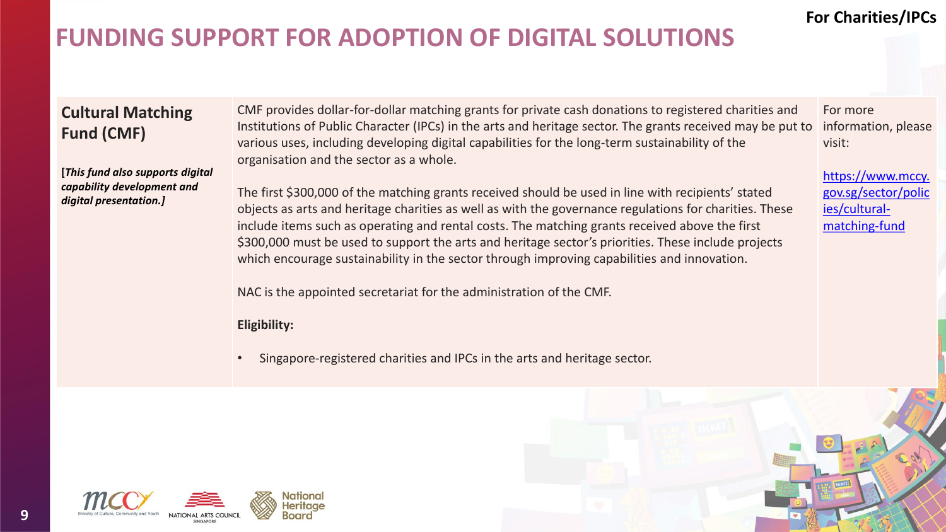### **For Charities/IPCs**

## **FUNDING SUPPORT FOR ADOPTION OF DIGITAL SOLUTIONS**

### **Cultural Matching Fund (CMF)**

**[***This fund also supports digital capability development and digital presentation.]*

CMF provides dollar-for-dollar matching grants for private cash donations to registered charities and Institutions of Public Character (IPCs) in the arts and heritage sector. The grants received may be put to various uses, including developing digital capabilities for the long-term sustainability of the organisation and the sector as a whole.

The first \$300,000 of the matching grants received should be used in line with recipients' stated objects as arts and heritage charities as well as with the governance regulations for charities. These include items such as operating and rental costs. The matching grants received above the first \$300,000 must be used to support the arts and heritage sector's priorities. These include projects which encourage sustainability in the sector through improving capabilities and innovation.

NAC is the appointed secretariat for the administration of the CMF.

#### **Eligibility:**

• Singapore-registered charities and IPCs in the arts and heritage sector.



**9**

For more information, please visit:

https://www.mccy. [gov.sg/sector/polic](https://www.mccy.gov.sg/sector/policies/cultural-matching-fund) ies/culturalmatching-fund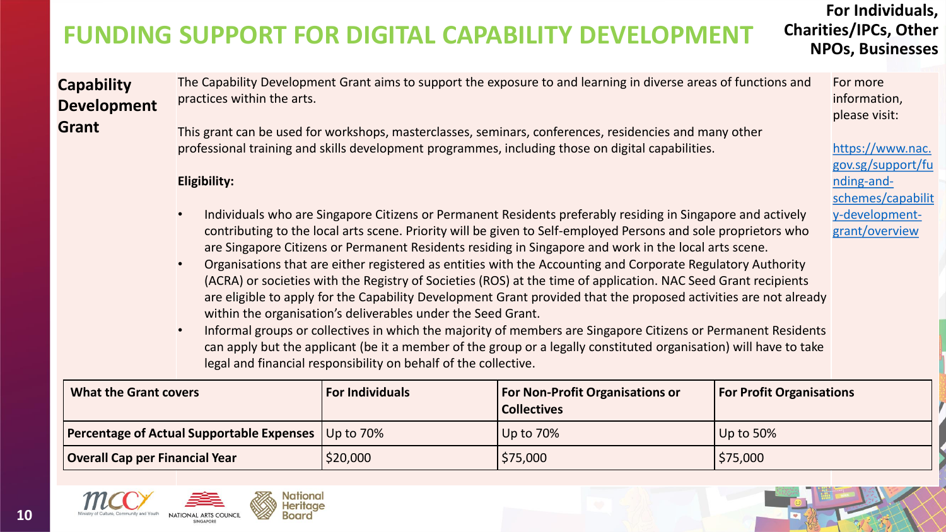# **FUNDING SUPPORT FOR DIGITAL CAPABILITY DEVELOPMENT**

**For Individuals, Charities/IPCs, Other NPOs, Businesses** 

> For more information, please visit:

nding-and-

https://www.nac. gov.sg/support/fu

[schemes/capabilit](https://www.nac.gov.sg/support/funding-and-schemes/capability-development-grant/overview) y-developmentgrant/overview

**Capability Development Grant**

The Capability Development Grant aims to support the exposure to and learning in diverse areas of functions and practices within the arts.

This grant can be used for workshops, masterclasses, seminars, conferences, residencies and many other professional training and skills development programmes, including those on digital capabilities.

**Eligibility:**

- Individuals who are Singapore Citizens or Permanent Residents preferably residing in Singapore and actively contributing to the local arts scene. Priority will be given to Self-employed Persons and sole proprietors who are Singapore Citizens or Permanent Residents residing in Singapore and work in the local arts scene.
- Organisations that are either registered as entities with the Accounting and Corporate Regulatory Authority (ACRA) or societies with the Registry of Societies (ROS) at the time of application. NAC Seed Grant recipients are eligible to apply for the Capability Development Grant provided that the proposed activities are not already within the organisation's deliverables under the Seed Grant.
- Informal groups or collectives in which the majority of members are Singapore Citizens or Permanent Residents can apply but the applicant (be it a member of the group or a legally constituted organisation) will have to take legal and financial responsibility on behalf of the collective.

| <b>What the Grant covers</b>                               | <b>For Individuals</b> | <b>For Non-Profit Organisations or</b><br><b>Collectives</b> | <b>For Profit Organisations</b> |
|------------------------------------------------------------|------------------------|--------------------------------------------------------------|---------------------------------|
| <b>Percentage of Actual Supportable Expenses</b> Up to 70% |                        | Up to 70%                                                    | Up to 50%                       |
| <b>Overall Cap per Financial Year</b>                      | \$20,000               | \$75,000                                                     | \$75,000                        |

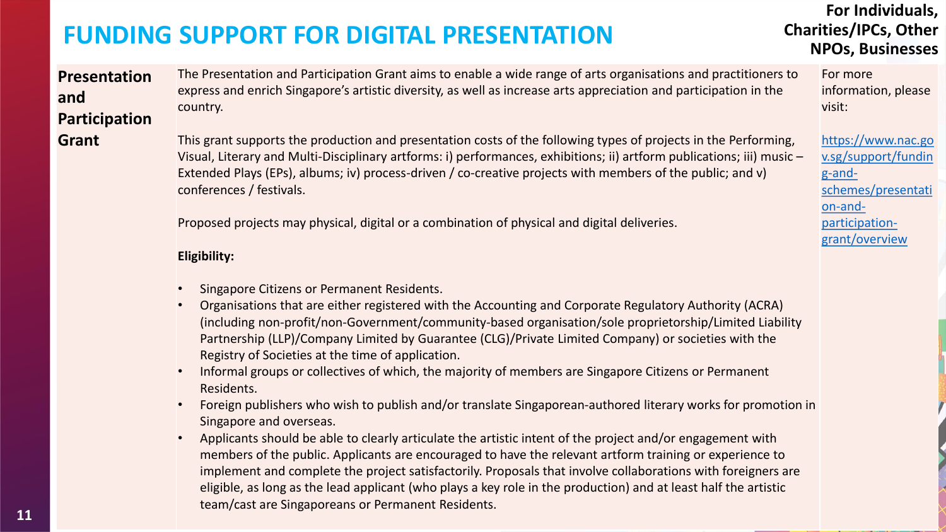### **For Individuals, Charities/IPCs, Other NPOs, Businesses**

**Presentation and Participation Grant**

The Presentation and Participation Grant aims to enable a wide range of arts organisations and practitioners to express and enrich Singapore's artistic diversity, as well as increase arts appreciation and participation in the country.

This grant supports the production and presentation costs of the following types of projects in the Performing, Visual, Literary and Multi-Disciplinary artforms: i) performances, exhibitions; ii) artform publications; iii) music – Extended Plays (EPs), albums; iv) process-driven / co-creative projects with members of the public; and v) conferences / festivals.

Proposed projects may physical, digital or a combination of physical and digital deliveries.

#### **Eligibility:**

- Singapore Citizens or Permanent Residents.
- Organisations that are either registered with the Accounting and Corporate Regulatory Authority (ACRA) (including non-profit/non-Government/community-based organisation/sole proprietorship/Limited Liability Partnership (LLP)/Company Limited by Guarantee (CLG)/Private Limited Company) or societies with the Registry of Societies at the time of application.
- Informal groups or collectives of which, the majority of members are Singapore Citizens or Permanent Residents.
- Foreign publishers who wish to publish and/or translate Singaporean‐authored literary works for promotion in Singapore and overseas.
- Applicants should be able to clearly articulate the artistic intent of the project and/or engagement with members of the public. Applicants are encouraged to have the relevant artform training or experience to implement and complete the project satisfactorily. Proposals that involve collaborations with foreigners are eligible, as long as the lead applicant (who plays a key role in the production) and at least half the artistic team/cast are Singaporeans or Permanent Residents.

For more information, please visit:

https://www.nac.go [v.sg/support/fundin](https://www.nac.gov.sg/support/funding-and-schemes/presentation-and-participation-grant/overview) g-andschemes/presentati on-andparticipationgrant/overview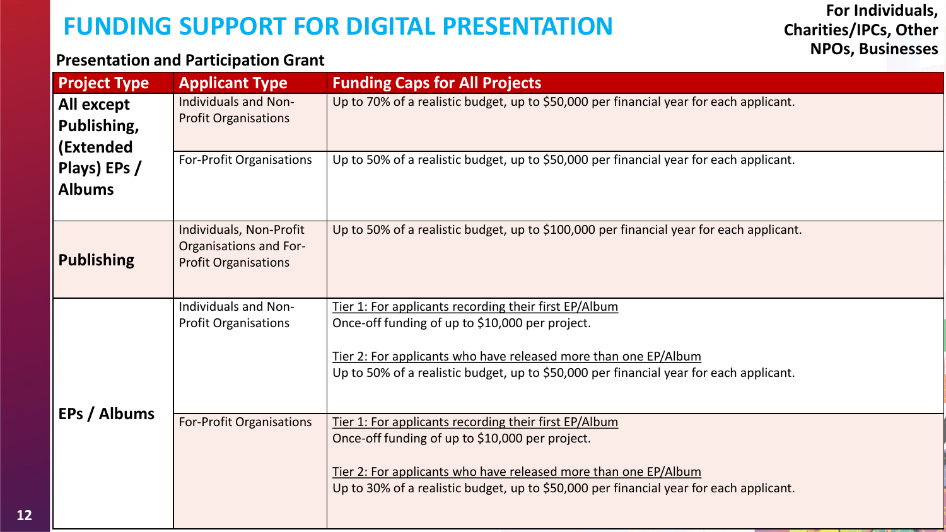### **Presentation and Participation Grant**

| <b>Project Type</b>                    | <b>Applicant Type</b>                                                                   | <b>Funding Caps for All Projects</b>                                                                                                                                                                                                                                  |
|----------------------------------------|-----------------------------------------------------------------------------------------|-----------------------------------------------------------------------------------------------------------------------------------------------------------------------------------------------------------------------------------------------------------------------|
| All except<br>Publishing,<br>(Extended | <b>Individuals and Non-</b><br><b>Profit Organisations</b>                              | Up to 70% of a realistic budget, up to \$50,000 per financial year for each applicant.                                                                                                                                                                                |
| Plays) EPs /<br><b>Albums</b>          | For-Profit Organisations                                                                | Up to 50% of a realistic budget, up to \$50,000 per financial year for each applicant.                                                                                                                                                                                |
| <b>Publishing</b>                      | Individuals, Non-Profit<br><b>Organisations and For-</b><br><b>Profit Organisations</b> | Up to 50% of a realistic budget, up to \$100,000 per financial year for each applicant.                                                                                                                                                                               |
|                                        | Individuals and Non-<br><b>Profit Organisations</b>                                     | Tier 1: For applicants recording their first EP/Album<br>Once-off funding of up to \$10,000 per project.<br>Tier 2: For applicants who have released more than one EP/Album<br>Up to 50% of a realistic budget, up to \$50,000 per financial year for each applicant. |
| EPs / Albums                           | <b>For-Profit Organisations</b>                                                         | Tier 1: For applicants recording their first EP/Album<br>Once-off funding of up to \$10,000 per project.<br>Tier 2: For applicants who have released more than one EP/Album<br>Up to 30% of a realistic budget, up to \$50,000 per financial year for each applicant. |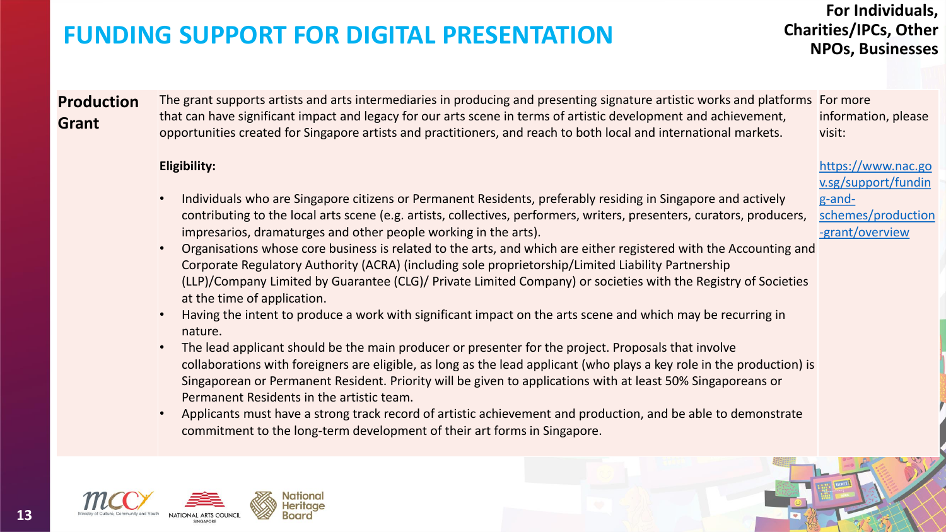### **For Individuals, Charities/IPCs, Other NPOs, Businesses**

#### **Production Grant** The grant supports artists and arts intermediaries in producing and presenting signature artistic works and platforms For more that can have significant impact and legacy for our arts scene in terms of artistic development and achievement, opportunities created for Singapore artists and practitioners, and reach to both local and international markets. information, please visit:

#### **Eligibility:**

- Individuals who are Singapore citizens or Permanent Residents, preferably residing in Singapore and actively contributing to the local arts scene (e.g. artists, collectives, performers, writers, presenters, curators, producers, impresarios, dramaturges and other people working in the arts).
- Organisations whose core business is related to the arts, and which are either registered with the Accounting and Corporate Regulatory Authority (ACRA) (including sole proprietorship/Limited Liability Partnership (LLP)/Company Limited by Guarantee (CLG)/ Private Limited Company) or societies with the Registry of Societies at the time of application.
- Having the intent to produce a work with significant impact on the arts scene and which may be recurring in nature.
- The lead applicant should be the main producer or presenter for the project. Proposals that involve collaborations with foreigners are eligible, as long as the lead applicant (who plays a key role in the production) is Singaporean or Permanent Resident. Priority will be given to applications with at least 50% Singaporeans or Permanent Residents in the artistic team.
- Applicants must have a strong track record of artistic achievement and production, and be able to demonstrate commitment to the long-term development of their art forms in Singapore.



**13**

https://www.nac.go v.sg/support/fundin g-and-

[schemes/production](https://www.nac.gov.sg/support/funding-and-schemes/production-grant/overview) -grant/overview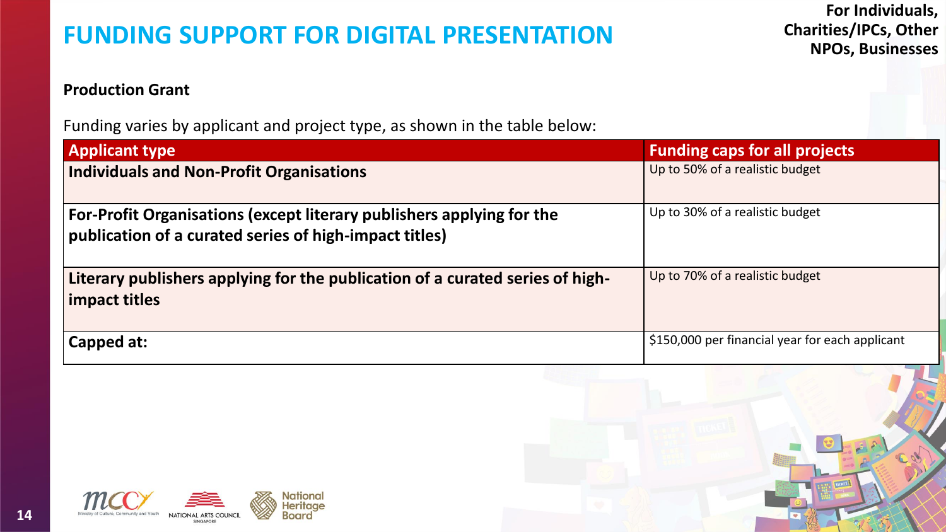### **Production Grant**

Funding varies by applicant and project type, as shown in the table below:

| <b>Applicant type</b>                                                                                                           | <b>Funding caps for all projects</b>            |
|---------------------------------------------------------------------------------------------------------------------------------|-------------------------------------------------|
| <b>Individuals and Non-Profit Organisations</b>                                                                                 | Up to 50% of a realistic budget                 |
| For-Profit Organisations (except literary publishers applying for the<br>publication of a curated series of high-impact titles) | Up to 30% of a realistic budget                 |
| Literary publishers applying for the publication of a curated series of high-<br>impact titles                                  | Up to 70% of a realistic budget                 |
| Capped at:                                                                                                                      | \$150,000 per financial year for each applicant |

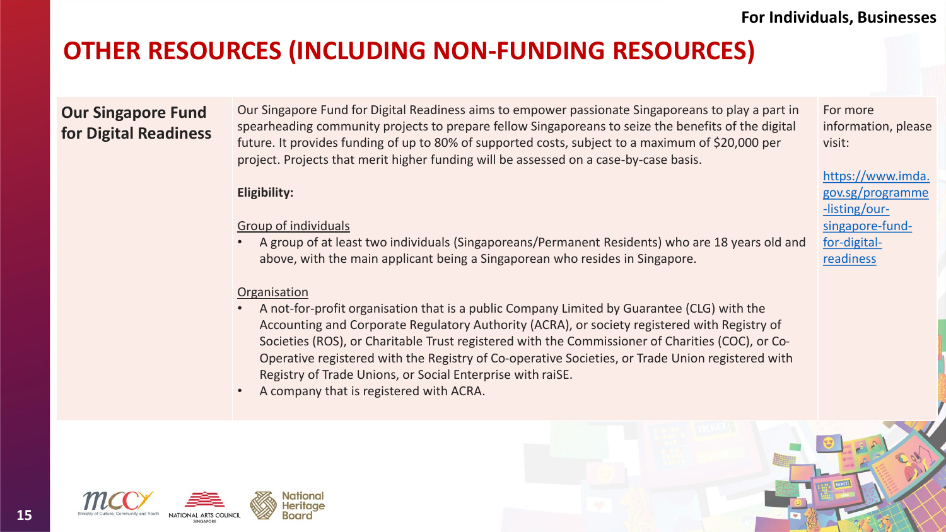## **OTHER RESOURCES (INCLUDING NON-FUNDING RESOURCES)**

### **Our Singapore Fund for Digital Readiness**

Our Singapore Fund for Digital Readiness aims to empower passionate Singaporeans to play a part in spearheading community projects to prepare fellow Singaporeans to seize the benefits of the digital future. It provides funding of up to 80% of supported costs, subject to a maximum of \$20,000 per project. Projects that merit higher funding will be assessed on a case-by-case basis.

### **Eligibility:**

#### Group of individuals

• A group of at least two individuals (Singaporeans/Permanent Residents) who are 18 years old and above, with the main applicant being a Singaporean who resides in Singapore.

### **Organisation**

- A not-for-profit organisation that is a public Company Limited by Guarantee (CLG) with the Accounting and Corporate Regulatory Authority (ACRA), or society registered with Registry of Societies (ROS), or Charitable Trust registered with the Commissioner of Charities (COC), or Co-Operative registered with the Registry of Co-operative Societies, or Trade Union registered with Registry of Trade Unions, or Social Enterprise with raiSE.
- A company that is registered with ACRA.





For more information, please visit:

https://www.imda. [gov.sg/programme](https://www.imda.gov.sg/programme-listing/our-singapore-fund-for-digital-readiness) -listing/oursingapore-fundfor-digitalreadiness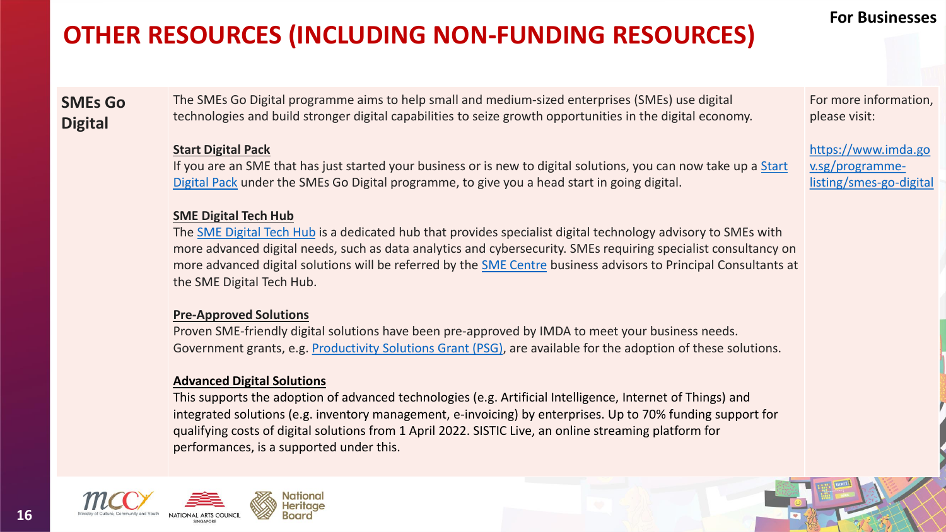# **OTHER RESOURCES (INCLUDING NON-FUNDING RESOURCES)**

### **SMEs Go Digital**

The SMEs Go Digital programme aims to help small and medium-sized enterprises (SMEs) use digital technologies and build stronger digital capabilities to seize growth opportunities in the digital economy.

#### **Start Digital Pack**

If you are an SME that has just started your business or is new to digital solutions, you can now take up a Start Digital Pack under the SMEs Go Digital programme, to give you a head start in going digital.

#### **SME Digital Tech Hub**

The [SME Digital Tech Hub](https://www.imda.gov.sg/programme-listing/smes-go-digital/sme-digital-tech-hub) is a dedicated hub that provides specialist digital technology advisory to SMEs with more advanced digital needs, such as data analytics and cybersecurity. SMEs requiring specialist consultancy on more advanced digital solutions will be referred by the [SME Centre](https://www.enterprisesg.gov.sg/smecentre) business advisors to Principal Consultants at the SME Digital Tech Hub.

#### **Pre-Approved Solutions**

Proven SME-friendly digital solutions have been pre-approved by IMDA to meet your business needs. Government grants, e.g. [Productivity Solutions Grant \(PSG\)](https://www.enterprisesg.gov.sg/financial-assistance/grants/for-local-companies/productivity-solutions-grant), are available for the adoption of these solutions.

#### **Advanced Digital Solutions**

This supports the adoption of advanced technologies (e.g. Artificial Intelligence, Internet of Things) and integrated solutions (e.g. inventory management, e-invoicing) by enterprises. Up to 70% funding support for qualifying costs of digital solutions from 1 April 2022. SISTIC Live, an online streaming platform for performances, is a supported under this.



### **For Businesses**

For more information, please visit:

[https://www.imda.go](https://www.imda.gov.sg/programme-listing/smes-go-digital) v.sg/programmelisting/smes-go-digital